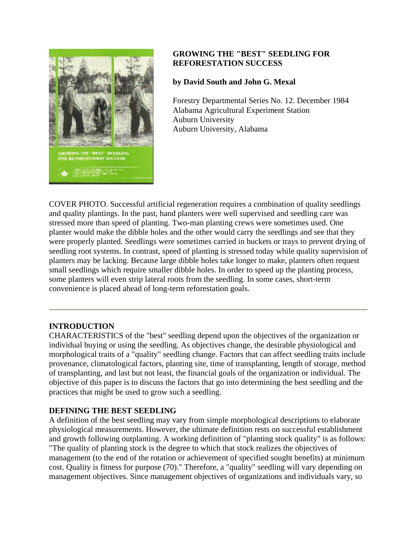

# **GROWING THE "BEST" SEEDLING FOR REFORESTATION SUCCESS**

# **by David South and John G. Mexal**

Forestry Departmental Series No. 12. December 1984 Alabama Agricultural Experiment Station Auburn University Auburn University, Alabama

COVER PHOTO. Successful artificial regeneration requires a combination of quality seedlings and quality plantings. In the past, hand planters were well supervised and seedling care was stressed more than speed of planting. Two-man planting crews were sometimes used. One planter would make the dibble holes and the other would carry the seedlings and see that they were properly planted. Seedlings were sometimes carried in buckets or trays to prevent drying of seedling root systems. In contrast, speed of planting is stressed today while quality supervision of planters may be lacking. Because large dibble holes take longer to make, planters often request small seedlings which require smaller dibble holes. In order to speed up the planting process, some planters will even strip lateral roots from the seedling. In some cases, short-term convenience is placed ahead of long-term reforestation goals.

# **INTRODUCTION**

CHARACTERISTICS of the "best" seedling depend upon the objectives of the organization or individual buying or using the seedling. As objectives change, the desirable physiological and morphological traits of a "quality" seedling change. Factors that can affect seedling traits include provenance, climatological factors, planting site, time of transplanting, length of storage, method of transplanting, and last but not least, the financial goals of the organization or individual. The objective of this paper is to discuss the factors that go into determining the best seedling and the practices that might be used to grow such a seedling.

# **DEFINING THE BEST SEEDLING**

A definition of the best seedling may vary from simple morphological descriptions to elaborate physiological measurements. However, the ultimate definition rests on successful establishment and growth following outplanting. A working definition of "planting stock quality" is as follows: "The quality of planting stock is the degree to which that stock realizes the objectives of management (to the end of the rotation or achievement of specified sought benefits) at minimum cost. Quality is fitness for purpose (70)." Therefore, a "quality" seedling will vary depending on management objectives. Since management objectives of organizations and individuals vary, so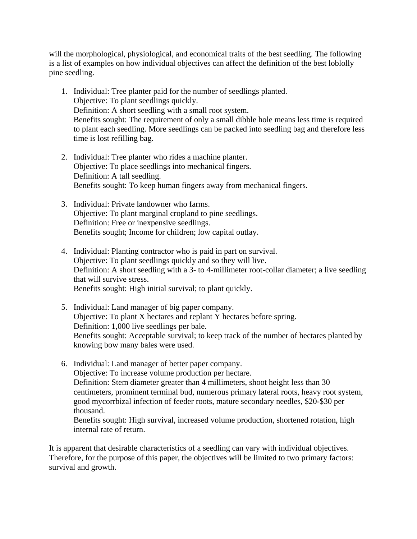will the morphological, physiological, and economical traits of the best seedling. The following is a list of examples on how individual objectives can affect the definition of the best loblolly pine seedling.

- 1. Individual: Tree planter paid for the number of seedlings planted. Objective: To plant seedlings quickly. Definition: A short seedling with a small root system. Benefits sought: The requirement of only a small dibble hole means less time is required to plant each seedling. More seedlings can be packed into seedling bag and therefore less time is lost refilling bag.
- 2. Individual: Tree planter who rides a machine planter. Objective: To place seedlings into mechanical fingers. Definition: A tall seedling. Benefits sought: To keep human fingers away from mechanical fingers.
- 3. Individual: Private landowner who farms. Objective: To plant marginal cropland to pine seedlings. Definition: Free or inexpensive seedlings. Benefits sought; Income for children; low capital outlay.
- 4. Individual: Planting contractor who is paid in part on survival. Objective: To plant seedlings quickly and so they will live. Definition: A short seedling with a 3- to 4-millimeter root-collar diameter; a live seedling that will survive stress. Benefits sought: High initial survival; to plant quickly.
- 5. Individual: Land manager of big paper company. Objective: To plant X hectares and replant Y hectares before spring. Definition: 1,000 live seedlings per bale. Benefits sought: Acceptable survival; to keep track of the number of hectares planted by knowing bow many bales were used.
- 6. Individual: Land manager of better paper company. Objective: To increase volume production per hectare. Definition: Stem diameter greater than 4 millimeters, shoot height less than 30 centimeters, prominent terminal bud, numerous primary lateral roots, heavy root system, good mycorrbizal infection of feeder roots, mature secondary needles, \$20-\$30 per thousand. Benefits sought: High survival, increased volume production, shortened rotation, high internal rate of return.

It is apparent that desirable characteristics of a seedling can vary with individual objectives. Therefore, for the purpose of this paper, the objectives will be limited to two primary factors: survival and growth.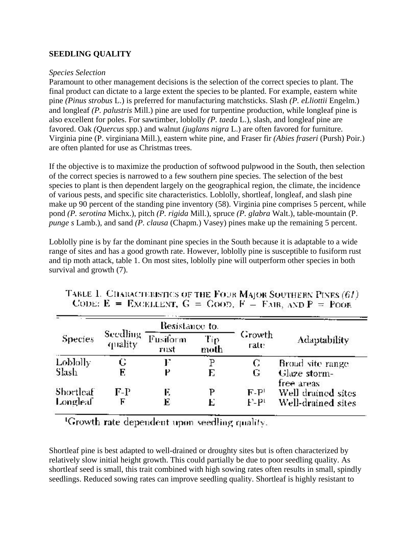## **SEEDLING QUALITY**

#### *Species Selection*

Paramount to other management decisions is the selection of the correct species to plant. The final product can dictate to a large extent the species to be planted. For example, eastern white pine *(Pinus strobus* L.) is preferred for manufacturing matchsticks. Slash *(P. eLliottii* Engelm.) and longleaf *(P. palustris* Mill.) pine are used for turpentine production, while longleaf pine is also excellent for poles. For sawtimber, loblolly *(P. taeda* L.), slash, and longleaf pine are favored. Oak *(Quercus* spp.) and walnut *(juglans nigra* L.) are often favored for furniture. Virginia pine (P. virginiana Mill.), eastern white pine, and Fraser fir *(Abies fraseri* (Pursh) Poir.) are often planted for use as Christmas trees.

If the objective is to maximize the production of softwood pulpwood in the South, then selection of the correct species is narrowed to a few southern pine species. The selection of the best species to plant is then dependent largely on the geographical region, the climate, the incidence of various pests, and specific site characteristics. Loblolly, shortleaf, longleaf, and slash pine make up 90 percent of the standing pine inventory (58). Virginia pine comprises 5 percent, while pond *(P. serotina* Michx.), pitch *(P. rigida* Mill.), spruce *(P. glabra* Walt.), table-mountain (P. *punge s* Lamb.), and sand *(P. clausa* (Chapm.) Vasey) pines make up the remaining 5 percent.

Loblolly pine is by far the dominant pine species in the South because it is adaptable to a wide range of sites and has a good growth rate. However, loblolly pine is susceptible to fusiform rust and tip moth attack, table 1. On most sites, loblolly pine will outperform other species in both survival and growth (7).

|           |                     | Resistance to.                  |   |                 | Adaptability               |  |
|-----------|---------------------|---------------------------------|---|-----------------|----------------------------|--|
| Species   | Seedling<br>quality | Fusiform<br>Tip<br>moth<br>rust |   | Growth<br>rate: |                            |  |
| Loblolly  |                     |                                 |   | С               | Broad site range           |  |
| Slash     | E                   |                                 | E | G               | Glaze storm-<br>free areas |  |
| Shortleaf | $F-P$               | E                               | р | $F - P$         | Well drained sites         |  |
| Longleaf  | F                   | E                               |   | $F - P$         | Well-drained sites         |  |

|  |  | TABLE 1. CHARACTERISTICS OF THE FOUR MAJOR SOUTHERN PINES (61). |
|--|--|-----------------------------------------------------------------|
|  |  | CODE: $E =$ EXCELLENT, $G =$ GOOD, $F =$ FAIR, AND $P =$ POOR   |

<sup>1</sup>Growth rate dependent upon seedling quality.

Shortleaf pine is best adapted to well-drained or droughty sites but is often characterized by relatively slow initial height growth. This could partially be due to poor seedling quality. As shortleaf seed is small, this trait combined with high sowing rates often results in small, spindly seedlings. Reduced sowing rates can improve seedling quality. Shortleaf is highly resistant to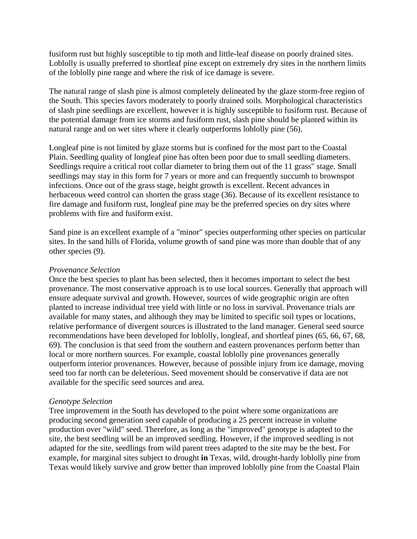fusiform rust but highly susceptible to tip moth and little-leaf disease on poorly drained sites. Loblolly is usually preferred to shortleaf pine except on extremely dry sites in the northern limits of the loblolly pine range and where the risk of ice damage is severe.

The natural range of slash pine is almost completely delineated by the glaze storm-free region of the South. This species favors moderately to poorly drained soils. Morphological characteristics of slash pine seedlings are excellent, however it is highly susceptible to fusiform rust. Because of the potential damage from ice storms and fusiform rust, slash pine should be planted within its natural range and on wet sites where it clearly outperforms loblolly pine (56).

Longleaf pine is not limited by glaze storms but is confined for the most part to the Coastal Plain. Seedling quality of longleaf pine has often been poor due to small seedling diameters. Seedlings require a critical root collar diameter to bring them out of the 11 grass" stage. Small seedlings may stay in this form for 7 years or more and can frequently succumb to brownspot infections. Once out of the grass stage, height growth is excellent. Recent advances in herbaceous weed control can shorten the grass stage (36). Because of its excellent resistance to fire damage and fusiform rust, longleaf pine may be the preferred species on dry sites where problems with fire and fusiform exist.

Sand pine is an excellent example of a "minor" species outperforming other species on particular sites. In the sand hills of Florida, volume growth of sand pine was more than double that of any other species (9).

#### *Provenance Selection*

Once the best species to plant has been selected, then it becomes important to select the best provenance. The most conservative approach is to use local sources. Generally that approach will ensure adequate survival and growth. However, sources of wide geographic origin are often planted to increase individual tree yield with little or no loss in survival. Provenance trials are available for many states, and although they may be limited to specific soil types or locations, relative performance of divergent sources is illustrated to the land manager. General seed source recommendations have been developed for loblolly, longleaf, and shortleaf pines (65, 66, 67, 68, 69). The conclusion is that seed from the southern and eastern provenances perform better than local or more northern sources. For example, coastal loblolly pine provenances generally outperform interior provenances. However, because of possible injury from ice damage, moving seed too far north can be deleterious. Seed movement should be conservative if data are not available for the specific seed sources and area.

#### *Genotype Selection*

Tree improvement in the South has developed to the point where some organizations are producing second generation seed capable of producing a 25 percent increase in volume production over "wild" seed. Therefore, as long as the "improved" genotype is adapted to the site, the best seedling will be an improved seedling. However, if the improved seedling is not adapted for the site, seedlings from wild parent trees adapted to the site may be the best. For example, for marginal sites subject to drought **in** Texas, wild, drought-hardy loblolly pine from Texas would likely survive and grow better than improved loblolly pine from the Coastal Plain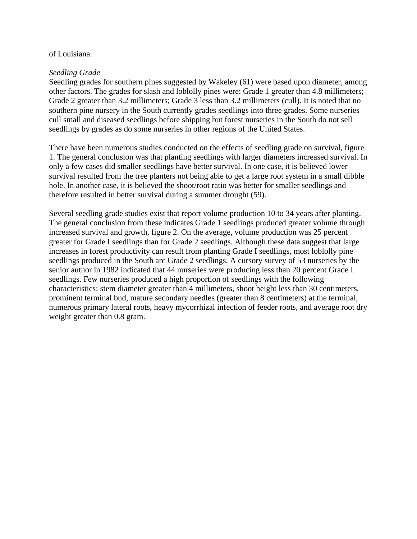#### of Louisiana.

#### *Seedling Grade*

Seedling grades for southern pines suggested by Wakeley (61) were based upon diameter, among other factors. The grades for slash and loblolly pines were: Grade 1 greater than 4.8 millimeters; Grade 2 greater than 3.2 millimeters; Grade 3 less than 3.2 millimeters (cull). It is noted that no southern pine nursery in the South currently grades seedlings into three grades. Some nurseries cull small and diseased seedlings before shipping but forest nurseries in the South do not sell seedlings by grades as do some nurseries in other regions of the United States.

There have been numerous studies conducted on the effects of seedling grade on survival, figure 1. The general conclusion was that planting seedlings with larger diameters increased survival. In only a few cases did smaller seedlings have better survival. In one case, it is believed lower survival resulted from the tree planters not being able to get a large root system in a small dibble hole. In another case, it is believed the shoot/root ratio was better for smaller seedlings and therefore resulted in better survival during a summer drought (59).

Several seedling grade studies exist that report volume production 10 to 34 years after planting. The general conclusion from these indicates Grade 1 seedlings produced greater volume through increased survival and growth, figure 2. On the average, volume production was 25 percent greater for Grade I seedlings than for Grade 2 seedlings. Although these data suggest that large increases in forest productivity can result from planting Grade I seedlings, most loblolly pine seedlings produced in the South arc Grade 2 seedlings. A cursory survey of 53 nurseries by the senior author in 1982 indicated that 44 nurseries were producing less than 20 percent Grade I seedlings. Few nurseries produced a high proportion of seedlings with the following characteristics: stem diameter greater than 4 millimeters, shoot height less than 30 centimeters, prominent terminal bud, mature secondary needles (greater than 8 centimeters) at the terminal, numerous primary lateral roots, heavy mycorrhizal infection of feeder roots, and average root dry weight greater than 0.8 gram.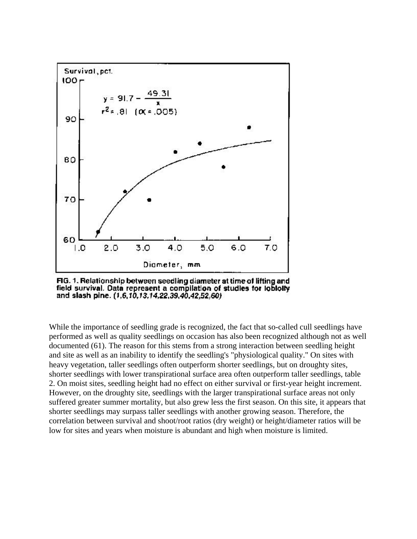

FIG. 1. Relationship between seedling diameter at time of lifting and field survival. Data represent a compilation of studies for lobiolty and slash pine. (1,6,10,13,14,22,39,40,42,52,60)

While the importance of seedling grade is recognized, the fact that so-called cull seedlings have performed as well as quality seedlings on occasion has also been recognized although not as well documented (61). The reason for this stems from a strong interaction between seedling height and site as well as an inability to identify the seedling's "physiological quality." On sites with heavy vegetation, taller seedlings often outperform shorter seedlings, but on droughty sites, shorter seedlings with lower transpirational surface area often outperform taller seedlings, table 2. On moist sites, seedling height had no effect on either survival or first-year height increment. However, on the droughty site, seedlings with the larger transpirational surface areas not only suffered greater summer mortality, but also grew less the first season. On this site, it appears that shorter seedlings may surpass taller seedlings with another growing season. Therefore, the correlation between survival and shoot/root ratios (dry weight) or height/diameter ratios will be low for sites and years when moisture is abundant and high when moisture is limited.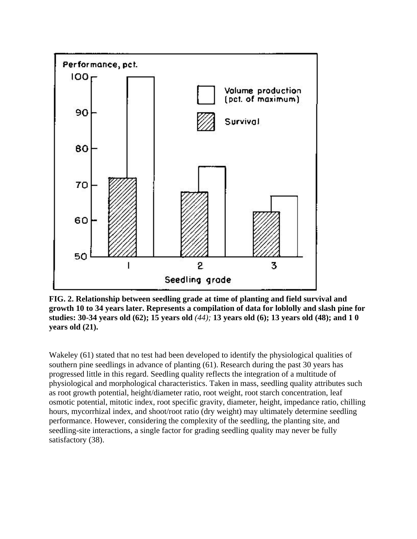

**FIG. 2. Relationship between seedling grade at time of planting and field survival and growth 10 to 34 years later. Represents a compilation of data for loblolly and slash pine for studies: 30-34 years old (62); 15 years old** *(44);* **13 years old (6); 13 years old (48); and 1 0 years old (21).** 

Wakeley (61) stated that no test had been developed to identify the physiological qualities of southern pine seedlings in advance of planting (61). Research during the past 30 years has progressed little in this regard. Seedling quality reflects the integration of a multitude of physiological and morphological characteristics. Taken in mass, seedling quality attributes such as root growth potential, height/diameter ratio, root weight, root starch concentration, leaf osmotic potential, mitotic index, root specific gravity, diameter, height, impedance ratio, chilling hours, mycorrhizal index, and shoot/root ratio (dry weight) may ultimately determine seedling performance. However, considering the complexity of the seedling, the planting site, and seedling-site interactions, a single factor for grading seedling quality may never be fully satisfactory (38).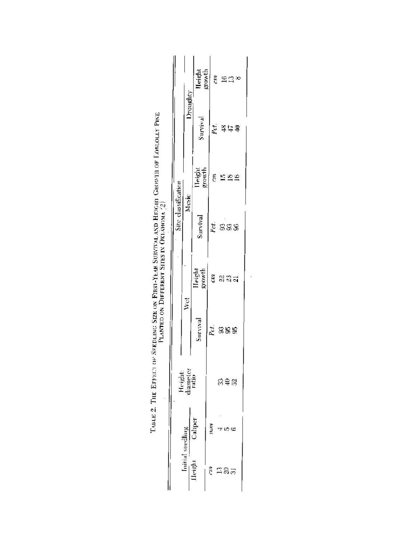| Initial seedling |         |                             |          |                  | Site classification |                  |              |                  |
|------------------|---------|-----------------------------|----------|------------------|---------------------|------------------|--------------|------------------|
|                  |         | Height<br>diameter<br>ratio | Wet      |                  | Mesic               |                  | Droughty     |                  |
| Height           | Caliper |                             | Survival | Height<br>growth | Survival            | growth<br>Height | Survival     | growth<br>Height |
| ĉ                | mar     |                             | Pet.     | ŝ                | Pet.                | CO.              | $P_{\rm GL}$ |                  |
|                  |         |                             |          |                  |                     |                  |              | ξů               |
| ក្នុង            |         | និទ្ធិន                     |          |                  |                     |                  |              |                  |
|                  | $w \in$ |                             |          |                  |                     |                  |              |                  |
|                  |         |                             | 38£      | ล 31<br>ล 31 ม   | SS\$                | ក្ខក             | 法근실          | $\frac{16}{12}$  |

| er Here in 1<br>l<br>$\ddot{\cdot}$<br><b>Contract Contract Contract</b>          |                                                                                              |
|-----------------------------------------------------------------------------------|----------------------------------------------------------------------------------------------|
| $\sim$ 1.0 $\sim$ 1.0 $\sim$                                                      |                                                                                              |
|                                                                                   |                                                                                              |
|                                                                                   |                                                                                              |
|                                                                                   |                                                                                              |
|                                                                                   |                                                                                              |
|                                                                                   | ׅ֖֖֖֖֧֪ׅ֖֖֧֧֪֪ׅ֖֧ׅ֧֪ׅ֖֧֧֪ׅ֧ׅ֧֪֪ׅ֧֪֧֚֚֚֚֚֚֚֚֚֚֚֚֚֚֚֚֚֚֚֚֚֚֚֚֚֚֚֚֬֡֡֡֡֡֡֬֡֡֬֝֬֝֓֞֡֡֬֝֓֞֞֝֬֝֬֞֝ |
| $\frac{1}{2}$<br>i<br>I                                                           |                                                                                              |
|                                                                                   |                                                                                              |
|                                                                                   |                                                                                              |
|                                                                                   |                                                                                              |
|                                                                                   |                                                                                              |
| ׇׇׇ֧֧֖֖֧֪ׅ֧֧֖֧֧֧֧֧֧֧֧֡֓֓֝֓֓֝֬֝֓֝֬֓֝֬֝֬֝֬֓֝֬<br>֧֧֧֪֧֧֧֪֪֪֪֪֪֪֪֧֧֧֩֩֩֩֓֩֓<br>֧֧֪֪֧ |                                                                                              |
|                                                                                   |                                                                                              |
|                                                                                   |                                                                                              |
|                                                                                   |                                                                                              |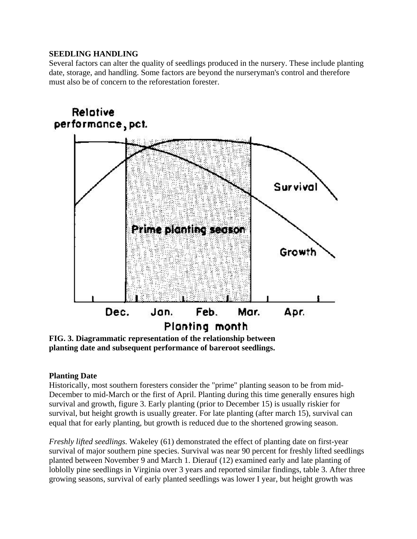# **SEEDLING HANDLING**

Several factors can alter the quality of seedlings produced in the nursery. These include planting date, storage, and handling. Some factors are beyond the nurseryman's control and therefore must also be of concern to the reforestation forester.



**planting date and subsequent performance of bareroot seedlings.** 

# **Planting Date**

Historically, most southern foresters consider the "prime" planting season to be from mid-December to mid-March or the first of April. Planting during this time generally ensures high survival and growth, figure 3. Early planting (prior to December 15) is usually riskier for survival, but height growth is usually greater. For late planting (after march 15), survival can equal that for early planting, but growth is reduced due to the shortened growing season.

*Freshly lifted seedlings.* Wakeley (61) demonstrated the effect of planting date on first-year survival of major southern pine species. Survival was near 90 percent for freshly lifted seedlings planted between November 9 and March 1. Dierauf (12) examined early and late planting of loblolly pine seedlings in Virginia over 3 years and reported similar findings, table 3. After three growing seasons, survival of early planted seedlings was lower I year, but height growth was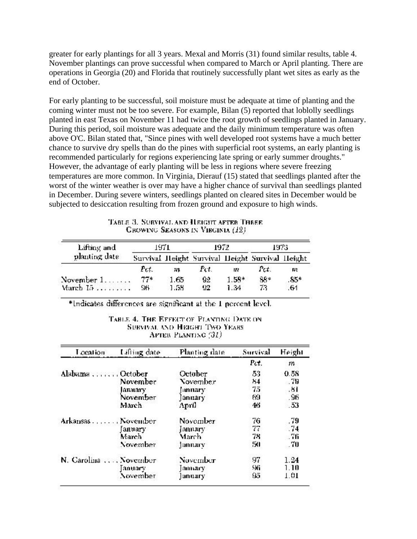greater for early plantings for all 3 years. Mexal and Morris (31) found similar results, table 4. November plantings can prove successful when compared to March or April planting. There are operations in Georgia (20) and Florida that routinely successfully plant wet sites as early as the end of October.

For early planting to be successful, soil moisture must be adequate at time of planting and the coming winter must not be too severe. For example, Bilan (5) reported that loblolly seedlings planted in east Texas on November 11 had twice the root growth of seedlings planted in January. During this period, soil moisture was adequate and the daily minimum temperature was often above O'C. Bilan stated that, "Since pines with well developed root systems have a much better chance to survive dry spells than do the pines with superficial root systems, an early planting is recommended particularly for regions experiencing late spring or early summer droughts." However, the advantage of early planting will be less in regions where severe freezing temperatures are more common. In Virginia, Dierauf (15) stated that seedlings planted after the worst of the winter weather is over may have a higher chance of survival than seedlings planted in December. During severe winters, seedlings planted on cleared sites in December would be subjected to desiccation resulting from frozen ground and exposure to high winds.

| Lifting and                                | 1971         |               | 1972      |                 | 1973                                            |              |
|--------------------------------------------|--------------|---------------|-----------|-----------------|-------------------------------------------------|--------------|
| planting date                              |              |               |           |                 | Survival Height Survival Height Survival Height |              |
|                                            | Pct.         | m             | Pet.      | w               | Pct.                                            | m            |
| November $1, \ldots, \ldots$<br>March $15$ | $77*$<br>96. | 1.65<br>1.58. | 92<br>92. | $1.58*$<br>1.34 | 88*<br>73.                                      | $85*$<br>.64 |

TABLE 3. SURVIVAL AND HEIGHT AFTER THEEE. CROWING SEASONS IN VIRGINIA (12)

\*Indicates differences are significant at the 1 percent level.

#### TABLE 4. THE EFFECT OF PLANTING DATE ON SURVIVAL AND HEIGHT TWO YEARS AFTER PLANTING (31)

| Location              | Lifting date | Planting date  | Survival | Height |
|-----------------------|--------------|----------------|----------|--------|
|                       |              |                | Pet.     | m      |
| Alabama October       |              | October        | 53       | 0.58   |
|                       | November     | November       | 1,4      | - 79   |
|                       | January      | <b>January</b> | 75       | .81    |
|                       | November     | <b>January</b> | 69       | .96    |
|                       | March        | April          | 46       | .53    |
| Arkansas  November    |              | November       | 76       | .79    |
|                       | ∫anuary      | January        | 77       | .74    |
|                       | March        | March          | 78       | . 76   |
|                       | November     | jannary        | 50       | .70    |
| N. Carolina  November |              | November       | 97       | 1.24   |
|                       | anuary       | January        | 96       | 1.10   |
|                       | November     | ]anuary        | 95       | 1.01   |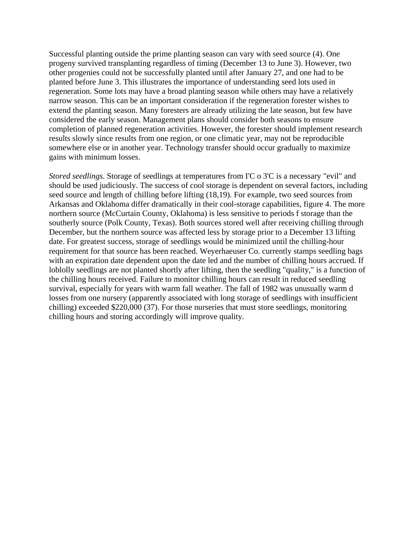Successful planting outside the prime planting season can vary with seed source (4). One progeny survived transplanting regardless of timing (December 13 to June 3). However, two other progenies could not be successfully planted until after January 27, and one had to be planted before June 3. This illustrates the importance of understanding seed lots used in regeneration. Some lots may have a broad planting season while others may have a relatively narrow season. This can be an important consideration if the regeneration forester wishes to extend the planting season. Many foresters are already utilizing the late season, but few have considered the early season. Management plans should consider both seasons to ensure completion of planned regeneration activities. However, the forester should implement research results slowly since results from one region, or one climatic year, may not be reproducible somewhere else or in another year. Technology transfer should occur gradually to maximize gains with minimum losses.

*Stored seedlings.* Storage of seedlings at temperatures from I'C o 3'C is a necessary "evil" and should be used judiciously. The success of cool storage is dependent on several factors, including seed source and length of chilling before lifting (18,19). For example, two seed sources from Arkansas and Oklahoma differ dramatically in their cool-storage capabilities, figure 4. The more northern source (McCurtain County, Oklahoma) is less sensitive to periods f storage than the southerly source (Polk County, Texas). Both sources stored well after receiving chilling through December, but the northern source was affected less by storage prior to a December 13 lifting date. For greatest success, storage of seedlings would be minimized until the chilling-hour requirement for that source has been reached. Weyerhaeuser Co. currently stamps seedling bags with an expiration date dependent upon the date led and the number of chilling hours accrued. If loblolly seedlings are not planted shortly after lifting, then the seedling "quality," is a function of the chilling hours received. Failure to monitor chilling hours can result in reduced seedling survival, especially for years with warm fall weather. The fall of 1982 was unusually warm d losses from one nursery (apparently associated with long storage of seedlings with insufficient chilling) exceeded \$220,000 (37). For those nurseries that must store seedlings, monitoring chilling hours and storing accordingly will improve quality.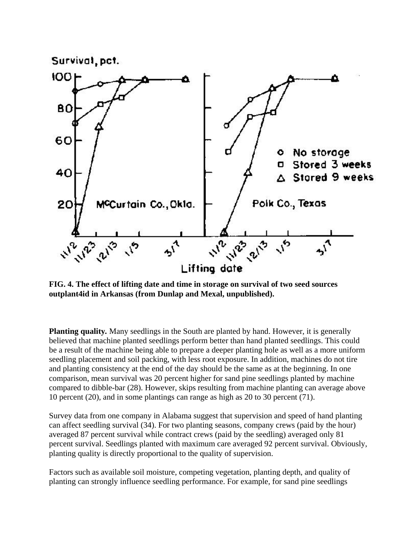

Δ

**FIG. 4. The effect of lifting date and time in storage on survival of two seed sources outplant4id in Arkansas (from Dunlap and Mexal, unpublished).** 

Lifting date

**Planting quality***.* Many seedlings in the South are planted by hand. However, it is generally believed that machine planted seedlings perform better than hand planted seedlings. This could be a result of the machine being able to prepare a deeper planting hole as well as a more uniform seedling placement and soil packing, with less root exposure. In addition, machines do not tire and planting consistency at the end of the day should be the same as at the beginning. In one comparison, mean survival was 20 percent higher for sand pine seedlings planted by machine compared to dibble-bar (28). However, skips resulting from machine planting can average above 10 percent (20), and in some plantings can range as high as 20 to 30 percent (71).

Survey data from one company in Alabama suggest that supervision and speed of hand planting can affect seedling survival (34). For two planting seasons, company crews (paid by the hour) averaged 87 percent survival while contract crews (paid by the seedling) averaged only 81 percent survival. Seedlings planted with maximum care averaged 92 percent survival. Obviously, planting quality is directly proportional to the quality of supervision.

Factors such as available soil moisture, competing vegetation, planting depth, and quality of planting can strongly influence seedling performance. For example, for sand pine seedlings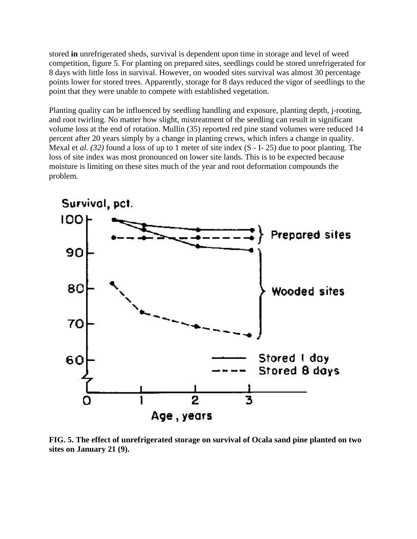stored **in** unrefrigerated sheds, survival is dependent upon time in storage and level of weed competition, figure 5. For planting on prepared sites, seedlings could be stored unrefrigerated for 8 days with little loss in survival. However, on wooded sites survival was almost 30 percentage points lower for stored trees. Apparently, storage for 8 days reduced the vigor of seedlings to the point that they were unable to compete with established vegetation.

Planting quality can be influenced by seedling handling and exposure, planting depth, j-rooting, and root twirling. No matter how slight, mistreatment of the seedling can result in significant volume loss at the end of rotation. Mullin (35) reported red pine stand volumes were reduced 14 percent after 20 years simply by a change in planting crews, which infers a change in quality. Mexal et *al. (32)* found a loss of up to 1 meter of site index (S - I- 25) due to poor planting. The loss of site index was most pronounced on lower site lands. This is to be expected because moisture is limiting on these sites much of the year and root deformation compounds the problem.



**FIG. 5. The effect of unrefrigerated storage on survival of Ocala sand pine planted on two sites on January 21 (9).**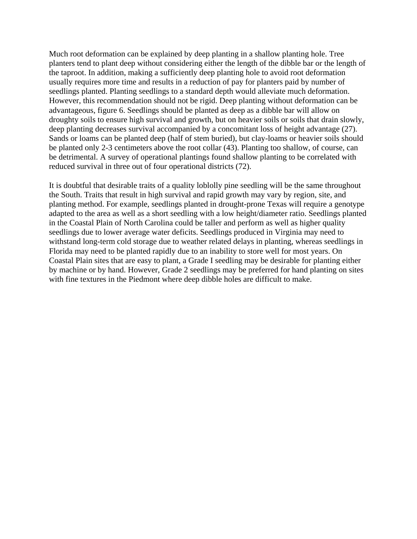Much root deformation can be explained by deep planting in a shallow planting hole. Tree planters tend to plant deep without considering either the length of the dibble bar or the length of the taproot. In addition, making a sufficiently deep planting hole to avoid root deformation usually requires more time and results in a reduction of pay for planters paid by number of seedlings planted. Planting seedlings to a standard depth would alleviate much deformation. However, this recommendation should not be rigid. Deep planting without deformation can be advantageous, figure 6. Seedlings should be planted as deep as a dibble bar will allow on droughty soils to ensure high survival and growth, but on heavier soils or soils that drain slowly, deep planting decreases survival accompanied by a concomitant loss of height advantage (27). Sands or loams can be planted deep (half of stem buried), but clay-loams or heavier soils should be planted only 2-3 centimeters above the root collar (43). Planting too shallow, of course, can be detrimental. A survey of operational plantings found shallow planting to be correlated with reduced survival in three out of four operational districts (72).

It is doubtful that desirable traits of a quality loblolly pine seedling will be the same throughout the South. Traits that result in high survival and rapid growth may vary by region, site, and planting method. For example, seedlings planted in drought-prone Texas will require a genotype adapted to the area as well as a short seedling with a low height/diameter ratio. Seedlings planted in the Coastal Plain of North Carolina could be taller and perform as well as higher quality seedlings due to lower average water deficits. Seedlings produced in Virginia may need to withstand long-term cold storage due to weather related delays in planting, whereas seedlings in Florida may need to be planted rapidly due to an inability to store well for most years. On Coastal Plain sites that are easy to plant, a Grade I seedling may be desirable for planting either by machine or by hand. However, Grade 2 seedlings may be preferred for hand planting on sites with fine textures in the Piedmont where deep dibble holes are difficult to make.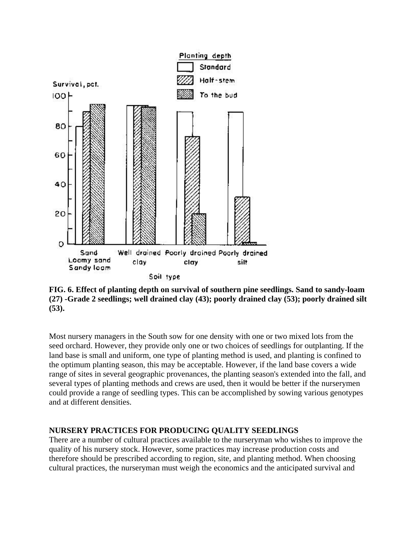

**FIG. 6. Effect of planting depth on survival of southern pine seedlings. Sand to sandy-loam (27) -Grade 2 seedlings; well drained clay (43); poorly drained clay (53); poorly drained silt (53).** 

Most nursery managers in the South sow for one density with one or two mixed lots from the seed orchard. However, they provide only one or two choices of seedlings for outplanting. If the land base is small and uniform, one type of planting method is used, and planting is confined to the optimum planting season, this may be acceptable. However, if the land base covers a wide range of sites in several geographic provenances, the planting season's extended into the fall, and several types of planting methods and crews are used, then it would be better if the nurserymen could provide a range of seedling types. This can be accomplished by sowing various genotypes and at different densities.

## **NURSERY PRACTICES FOR PRODUCING QUALITY SEEDLINGS**

There are a number of cultural practices available to the nurseryman who wishes to improve the quality of his nursery stock. However, some practices may increase production costs and therefore should be prescribed according to region, site, and planting method. When choosing cultural practices, the nurseryman must weigh the economics and the anticipated survival and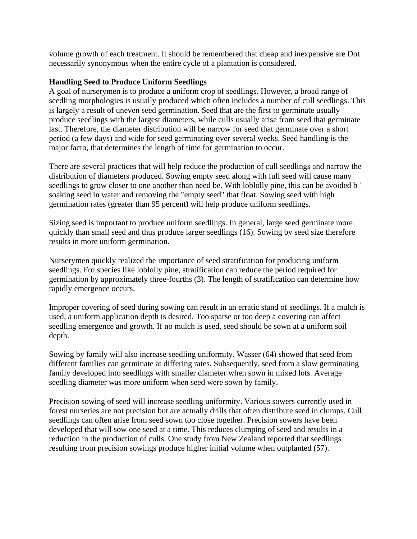volume growth of each treatment. It should be remembered that cheap and inexpensive are Dot necessarily synonymous when the entire cycle of a plantation is considered.

## **Handling Seed to Produce Uniform Seedlings**

A goal of nurserymen is to produce a uniform crop of seedlings. However, a broad range of seedling morphologies is usually produced which often includes a number of cull seedlings. This is largely a result of uneven seed germination. Seed that are the first to germinate usually produce seedlings with the largest diameters, while culls usually arise from seed that germinate last. Therefore, the diameter distribution will be narrow for seed that germinate over a short period (a few days) and wide for seed germinating over several weeks. Seed handling is the major facto, that determines the length of time for germination to occur.

There are several practices that will help reduce the production of cull seedlings and narrow the distribution of diameters produced. Sowing empty seed along with full seed will cause many seedlings to grow closer to one another than need be. With loblolly pine, this can be avoided b soaking seed in water and removing the "empty seed" that float. Sowing seed with high germination rates (greater than 95 percent) will help produce uniform seedlings.

Sizing seed is important to produce uniform seedlings. In general, large seed germinate more quickly than small seed and thus produce larger seedlings (16). Sowing by seed size therefore results in more uniform germination.

Nurserymen quickly realized the importance of seed stratification for producing uniform seedlings. For species like loblolly pine, stratification can reduce the period required for germination by approximately three-fourths (3). The length of stratification can determine how rapidly emergence occurs.

Improper covering of seed during sowing can result in an erratic stand of seedlings. If a mulch is used, a uniform application depth is desired. Too sparse or too deep a covering can affect seedling emergence and growth. If no mulch is used, seed should be sown at a uniform soil depth.

Sowing by family will also increase seedling uniformity. Wasser (64) showed that seed from different families can germinate at differing rates. Subsequently, seed from a slow germinating family developed into seedlings with smaller diameter when sown in mixed lots. Average seedling diameter was more uniform when seed were sown by family.

Precision sowing of seed will increase seedling uniformity. Various sowers currently used in forest nurseries are not precision but are actually drills that often distribute seed in clumps. Cull seedlings can often arise from seed sown too close together. Precision sowers have been developed that will sow one seed at a time. This reduces clumping of seed and results in a reduction in the production of culls. One study from New Zealand reported that seedlings resulting from precision sowings produce higher initial volume when outplanted (57).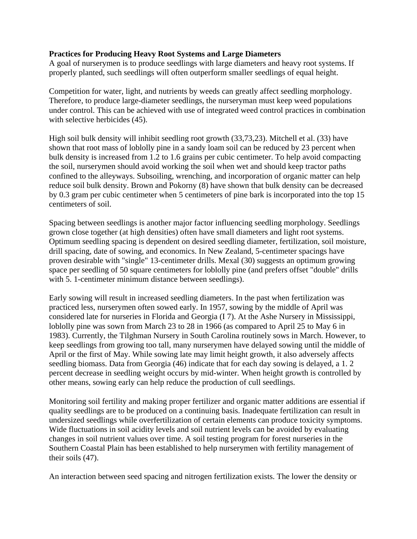## **Practices for Producing Heavy Root Systems and Large Diameters**

A goal of nurserymen is to produce seedlings with large diameters and heavy root systems. If properly planted, such seedlings will often outperform smaller seedlings of equal height.

Competition for water, light, and nutrients by weeds can greatly affect seedling morphology. Therefore, to produce large-diameter seedlings, the nurseryman must keep weed populations under control. This can be achieved with use of integrated weed control practices in combination with selective herbicides  $(45)$ .

High soil bulk density will inhibit seedling root growth (33,73,23). Mitchell et al. (33) have shown that root mass of loblolly pine in a sandy loam soil can be reduced by 23 percent when bulk density is increased from 1.2 to 1.6 grains per cubic centimeter. To help avoid compacting the soil, nurserymen should avoid working the soil when wet and should keep tractor paths confined to the alleyways. Subsoiling, wrenching, and incorporation of organic matter can help reduce soil bulk density. Brown and Pokorny (8) have shown that bulk density can be decreased by 0.3 gram per cubic centimeter when 5 centimeters of pine bark is incorporated into the top 15 centimeters of soil.

Spacing between seedlings is another major factor influencing seedling morphology. Seedlings grown close together (at high densities) often have small diameters and light root systems. Optimum seedling spacing is dependent on desired seedling diameter, fertilization, soil moisture, drill spacing, date of sowing, and economics. In New Zealand, 5-centimeter spacings have proven desirable with "single" 13-centimeter drills. Mexal (30) suggests an optimum growing space per seedling of 50 square centimeters for loblolly pine (and prefers offset "double" drills with 5. 1-centimeter minimum distance between seedlings).

Early sowing will result in increased seedling diameters. In the past when fertilization was practiced less, nurserymen often sowed early. In 1957, sowing by the middle of April was considered late for nurseries in Florida and Georgia (I 7). At the Ashe Nursery in Mississippi, loblolly pine was sown from March 23 to 28 in 1966 (as compared to April 25 to May 6 in 1983). Currently, the Tilghman Nursery in South Carolina routinely sows in March. However, to keep seedlings from growing too tall, many nurserymen have delayed sowing until the middle of April or the first of May. While sowing late may limit height growth, it also adversely affects seedling biomass. Data from Georgia (46) indicate that for each day sowing is delayed, a 1. 2 percent decrease in seedling weight occurs by mid-winter. When height growth is controlled by other means, sowing early can help reduce the production of cull seedlings.

Monitoring soil fertility and making proper fertilizer and organic matter additions are essential if quality seedlings are to be produced on a continuing basis. Inadequate fertilization can result in undersized seedlings while overfertilization of certain elements can produce toxicity symptoms. Wide fluctuations in soil acidity levels and soil nutrient levels can be avoided by evaluating changes in soil nutrient values over time. A soil testing program for forest nurseries in the Southern Coastal Plain has been established to help nurserymen with fertility management of their soils (47).

An interaction between seed spacing and nitrogen fertilization exists. The lower the density or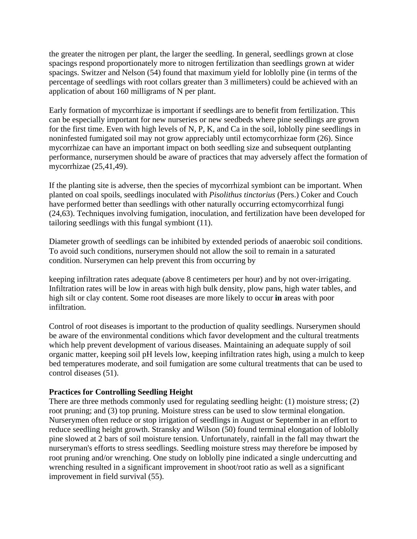the greater the nitrogen per plant, the larger the seedling. In general, seedlings grown at close spacings respond proportionately more to nitrogen fertilization than seedlings grown at wider spacings. Switzer and Nelson (54) found that maximum yield for loblolly pine (in terms of the percentage of seedlings with root collars greater than 3 millimeters) could be achieved with an application of about 160 milligrams of N per plant.

Early formation of mycorrhizae is important if seedlings are to benefit from fertilization. This can be especially important for new nurseries or new seedbeds where pine seedlings are grown for the first time. Even with high levels of N, P, K, and Ca in the soil, loblolly pine seedlings in noninfested fumigated soil may not grow appreciably until ectomycorrhizae form (26). Since mycorrhizae can have an important impact on both seedling size and subsequent outplanting performance, nurserymen should be aware of practices that may adversely affect the formation of mycorrhizae (25,41,49).

If the planting site is adverse, then the species of mycorrhizal symbiont can be important. When planted on coal spoils, seedlings inoculated with *Pisolithus tinctorius* (Pers.) Coker and Couch have performed better than seedlings with other naturally occurring ectomycorrhizal fungi (24,63). Techniques involving fumigation, inoculation, and fertilization have been developed for tailoring seedlings with this fungal symbiont (11).

Diameter growth of seedlings can be inhibited by extended periods of anaerobic soil conditions. To avoid such conditions, nurserymen should not allow the soil to remain in a saturated condition. Nurserymen can help prevent this from occurring by

keeping infiltration rates adequate (above 8 centimeters per hour) and by not over-irrigating. Infiltration rates will be low in areas with high bulk density, plow pans, high water tables, and high silt or clay content. Some root diseases are more likely to occur **in** areas with poor infiltration.

Control of root diseases is important to the production of quality seedlings. Nurserymen should be aware of the environmental conditions which favor development and the cultural treatments which help prevent development of various diseases. Maintaining an adequate supply of soil organic matter, keeping soil pH levels low, keeping infiltration rates high, using a mulch to keep bed temperatures moderate, and soil fumigation are some cultural treatments that can be used to control diseases (51).

## **Practices for Controlling Seedling Height**

There are three methods commonly used for regulating seedling height: (1) moisture stress; (2) root pruning; and (3) top pruning. Moisture stress can be used to slow terminal elongation. Nurserymen often reduce or stop irrigation of seedlings in August or September in an effort to reduce seedling height growth. Stransky and Wilson (50) found terminal elongation of loblolly pine slowed at 2 bars of soil moisture tension. Unfortunately, rainfall in the fall may thwart the nurseryman's efforts to stress seedlings. Seedling moisture stress may therefore be imposed by root pruning and/or wrenching. One study on loblolly pine indicated a single undercutting and wrenching resulted in a significant improvement in shoot/root ratio as well as a significant improvement in field survival (55).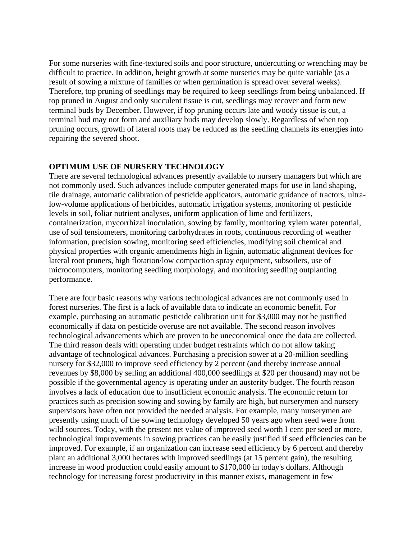For some nurseries with fine-textured soils and poor structure, undercutting or wrenching may be difficult to practice. In addition, height growth at some nurseries may be quite variable (as a result of sowing a mixture of families or when germination is spread over several weeks). Therefore, top pruning of seedlings may be required to keep seedlings from being unbalanced. If top pruned in August and only succulent tissue is cut, seedlings may recover and form new terminal buds by December. However, if top pruning occurs late and woody tissue is cut, a terminal bud may not form and auxiliary buds may develop slowly. Regardless of when top pruning occurs, growth of lateral roots may be reduced as the seedling channels its energies into repairing the severed shoot.

## **OPTIMUM USE OF NURSERY TECHNOLOGY**

There are several technological advances presently available to nursery managers but which are not commonly used. Such advances include computer generated maps for use in land shaping, tile drainage, automatic calibration of pesticide applicators, automatic guidance of tractors, ultralow-volume applications of herbicides, automatic irrigation systems, monitoring of pesticide levels in soil, foliar nutrient analyses, uniform application of lime and fertilizers, containerization, mycorrhizal inoculation, sowing by family, monitoring xylem water potential, use of soil tensiometers, monitoring carbohydrates in roots, continuous recording of weather information, precision sowing, monitoring seed efficiencies, modifying soil chemical and physical properties with organic amendments high in lignin, automatic alignment devices for lateral root pruners, high flotation/low compaction spray equipment, subsoilers, use of microcomputers, monitoring seedling morphology, and monitoring seedling outplanting performance.

There are four basic reasons why various technological advances are not commonly used in forest nurseries. The first is a lack of available data to indicate an economic benefit. For example, purchasing an automatic pesticide calibration unit for \$3,000 may not be justified economically if data on pesticide overuse are not available. The second reason involves technological advancements which are proven to be uneconomical once the data are collected. The third reason deals with operating under budget restraints which do not allow taking advantage of technological advances. Purchasing a precision sower at a 20-million seedling nursery for \$32,000 to improve seed efficiency by 2 percent (and thereby increase annual revenues by \$8,000 by selling an additional 400,000 seedlings at \$20 per thousand) may not be possible if the governmental agency is operating under an austerity budget. The fourth reason involves a lack of education due to insufficient economic analysis. The economic return for practices such as precision sowing and sowing by family are high, but nurserymen and nursery supervisors have often not provided the needed analysis. For example, many nurserymen are presently using much of the sowing technology developed 50 years ago when seed were from wild sources. Today, with the present net value of improved seed worth I cent per seed or more, technological improvements in sowing practices can be easily justified if seed efficiencies can be improved. For example, if an organization can increase seed efficiency by 6 percent and thereby plant an additional 3,000 hectares with improved seedlings (at 15 percent gain), the resulting increase in wood production could easily amount to \$170,000 in today's dollars. Although technology for increasing forest productivity in this manner exists, management in few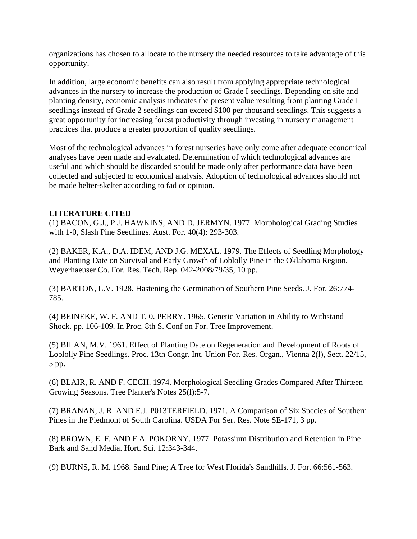organizations has chosen to allocate to the nursery the needed resources to take advantage of this opportunity.

In addition, large economic benefits can also result from applying appropriate technological advances in the nursery to increase the production of Grade I seedlings. Depending on site and planting density, economic analysis indicates the present value resulting from planting Grade I seedlings instead of Grade 2 seedlings can exceed \$100 per thousand seedlings. This suggests a great opportunity for increasing forest productivity through investing in nursery management practices that produce a greater proportion of quality seedlings.

Most of the technological advances in forest nurseries have only come after adequate economical analyses have been made and evaluated. Determination of which technological advances are useful and which should be discarded should be made only after performance data have been collected and subjected to economical analysis. Adoption of technological advances should not be made helter-skelter according to fad or opinion.

## **LITERATURE CITED**

(1) BACON, G.J., P.J. HAWKINS, AND D. JERMYN. 1977. Morphological Grading Studies with 1-0, Slash Pine Seedlings. Aust. For. 40(4): 293-303.

(2) BAKER, K.A., D.A. IDEM, AND J.G. MEXAL. 1979. The Effects of Seedling Morphology and Planting Date on Survival and Early Growth of Loblolly Pine in the Oklahoma Region. Weyerhaeuser Co. For. Res. Tech. Rep. 042-2008/79/35, 10 pp.

(3) BARTON, L.V. 1928. Hastening the Germination of Southern Pine Seeds. J. For. 26:774- 785.

(4) BEINEKE, W. F. AND T. 0. PERRY. 1965. Genetic Variation in Ability to Withstand Shock. pp. 106-109. In Proc. 8th S. Conf on For. Tree Improvement.

(5) BILAN, M.V. 1961. Effect of Planting Date on Regeneration and Development of Roots of Loblolly Pine Seedlings. Proc. 13th Congr. Int. Union For. Res. Organ., Vienna 2(l), Sect. 22/15, 5 pp.

(6) BLAIR, R. AND F. CECH. 1974. Morphological Seedling Grades Compared After Thirteen Growing Seasons. Tree Planter's Notes 25(l):5-7.

(7) BRANAN, J. R. AND E.J. P013TERFIELD. 1971. A Comparison of Six Species of Southern Pines in the Piedmont of South Carolina. USDA For Ser. Res. Note SE-171, 3 pp.

(8) BROWN, E. F. AND F.A. POKORNY. 1977. Potassium Distribution and Retention in Pine Bark and Sand Media. Hort. Sci. 12:343-344.

(9) BURNS, R. M. 1968. Sand Pine; A Tree for West Florida's Sandhills. J. For. 66:561-563.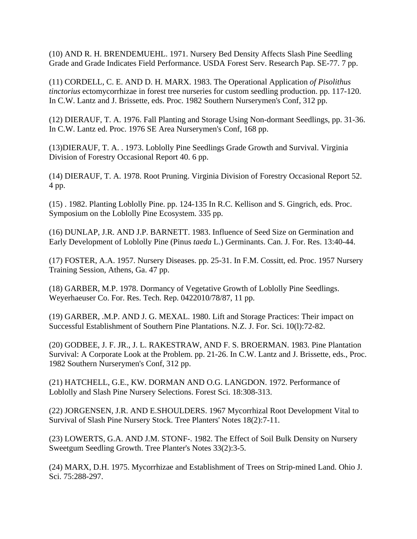(10) AND R. H. BRENDEMUEHL. 1971. Nursery Bed Density Affects Slash Pine Seedling Grade and Grade Indicates Field Performance. USDA Forest Serv. Research Pap. SE-77. 7 pp.

(11) CORDELL, C. E. AND D. H. MARX. 1983. The Operational Application *of Pisolithus tinctorius* ectomycorrhizae in forest tree nurseries for custom seedling production. pp. 117-120. In C.W. Lantz and J. Brissette, eds. Proc. 1982 Southern Nurserymen's Conf, 312 pp.

(12) DIERAUF, T. A. 1976. Fall Planting and Storage Using Non-dormant Seedlings, pp. 31-36. In C.W. Lantz ed. Proc. 1976 SE Area Nurserymen's Conf, 168 pp.

(13)DIERAUF, T. A. . 1973. Loblolly Pine Seedlings Grade Growth and Survival. Virginia Division of Forestry Occasional Report 40. 6 pp.

(14) DIERAUF, T. A. 1978. Root Pruning. Virginia Division of Forestry Occasional Report 52. 4 pp.

(15) . 1982. Planting Loblolly Pine. pp. 124-135 In R.C. Kellison and S. Gingrich, eds. Proc. Symposium on the Loblolly Pine Ecosystem. 335 pp.

(16) DUNLAP, J.R. AND J.P. BARNETT. 1983. Influence of Seed Size on Germination and Early Development of Loblolly Pine (Pinus *taeda* L.) Germinants. Can. J. For. Res. 13:40-44.

(17) FOSTER, A.A. 1957. Nursery Diseases. pp. 25-31. In F.M. Cossitt, ed. Proc. 1957 Nursery Training Session, Athens, Ga. 47 pp.

(18) GARBER, M.P. 1978. Dormancy of Vegetative Growth of Loblolly Pine Seedlings. Weyerhaeuser Co. For. Res. Tech. Rep. 0422010/78/87, 11 pp.

(19) GARBER, .M.P. AND J. G. MEXAL. 1980. Lift and Storage Practices: Their impact on Successful Establishment of Southern Pine Plantations. N.Z. J. For. Sci. 10(l):72-82.

(20) GODBEE, J. F. JR., J. L. RAKESTRAW, AND F. S. BROERMAN. 1983. Pine Plantation Survival: A Corporate Look at the Problem. pp. 21-26. In C.W. Lantz and J. Brissette, eds., Proc. 1982 Southern Nurserymen's Conf, 312 pp.

(21) HATCHELL, G.E., KW. DORMAN AND O.G. LANGDON. 1972. Performance of Loblolly and Slash Pine Nursery Selections. Forest Sci. 18:308-313.

(22) JORGENSEN, J.R. AND E.SHOULDERS. 1967 Mycorrhizal Root Development Vital to Survival of Slash Pine Nursery Stock. Tree Planters' Notes 18(2):7-11.

(23) LOWERTS, G.A. AND J.M. STONF-. 1982. The Effect of Soil Bulk Density on Nursery Sweetgum Seedling Growth. Tree Planter's Notes 33(2):3-5.

(24) MARX, D.H. 1975. Mycorrhizae and Establishment of Trees on Strip-mined Land. Ohio J. Sci. 75:288-297.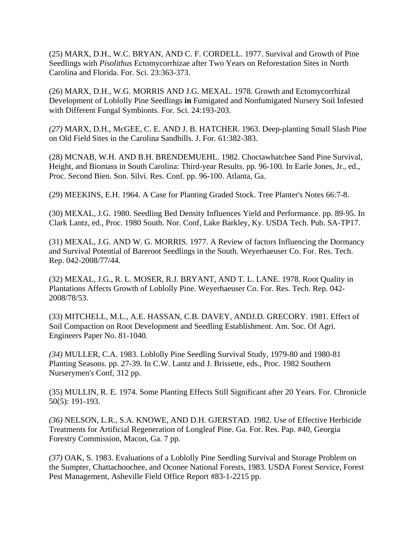(25) MARX, D.H., W.C. BRYAN, AND C. F. CORDELL. 1977. Survival and Growth of Pine Seedlings with *Pisolithus* Ectomycorrhizae after Two Years on Reforestation Sites in North Carolina and Florida. For. Sci. 23:363-373.

(26) MARX, D.H., W.G. MORRIS AND J.G. MEXAL. 1978. Growth and Ectomycorrhizal Development of Loblolly Pine Seedlings **in** Fumigated and Nonfumigated Nursery Soil Infested with Different Fungal Symbionts. For. Sci. 24:193-203.

*(27)* MARX, D.H., McGEE, C. E. AND J. B. HATCHER. 1963. Deep-planting Small Slash Pine on Old Field Sites in the Carolina Sandhills. J. For. 61:382-383.

(28) MCNAB, W.H. AND B.H. BRENDEMUEHL. 1982. Choctawhatchee Sand Pine Survival, Height, and Biomass in South Carolina: Third-year Results. pp. 96-100. In Earle Jones, Jr., ed., Proc. Second Bien. Son. Silvi. Res. Conf. pp. 96-100. Atlanta, Ga.

(29) MEEKINS, E.H. 1964. A Case for Planting Graded Stock. Tree Planter's Notes 66:7-8.

(30) MEXAL, J.G. 1980. Seedling Bed Density Influences Yield and Performance. pp. 89-95. In Clark Lantz, ed., Proc. 1980 South. Nor. Conf, Lake Barkley, Ky. USDA Tech. Pub. SA-TP17.

(31) MEXAL, J.G. AND W. G. MORRIS. 1977. A Review of factors Influencing the Dormancy and Survival Potential of Bareroot Seedlings in the South. Weyerhaeuser Co. For. Res. Tech. Rep. 042-2008/77/44.

(32) MEXAL, J.G., R. L. MOSER, R.J. BRYANT, AND T. L. LANE. 1978. Root Quality in Plantations Affects Growth of Loblolly Pine. Weyerhaeuser Co. For. Res. Tech. Rep. 042- 2008/78/53.

(33) MITCHELL, M.L., A.E. HASSAN, C.B. DAVEY, ANDJ.D. GRECORY. 1981. Effect of Soil Compaction on Root Development and Seedling Establishment. Am. Soc. Of Agri. Engineers Paper No. 81-1040.

*(34)* MULLER, C.A. 1983. Loblolly Pine Seedling Survival Study, 1979-80 and 1980-81 Planting Seasons. pp. 27-39. In C.W. Lantz and J. Brissette, eds., Proc. 1982 Southern Nurserymen's Conf, 312 pp.

(35) MULLIN, R. E. 1974. Some Planting Effects Still Significant after 20 Years. For. Chronicle 50(5): 191-193.

*(36)* NELSON, L.R., S.A. KNOWE, AND D.H. GJERSTAD. 1982. Use of Effective Herbicide Treatments for Artificial Regeneration of Longleaf Pine. Ga. For. Res. Pap. #40, Georgia Forestry Commission, Macon, Ga. 7 pp.

*(37)* OAK, S. 1983. Evaluations of a Loblolly Pine Seedling Survival and Storage Problem on the Sumpter, Chattachoochee, and Oconee National Forests, 1983. USDA Forest Service, Forest Pest Management, Asheville Field Office Report #83-1-2215 pp.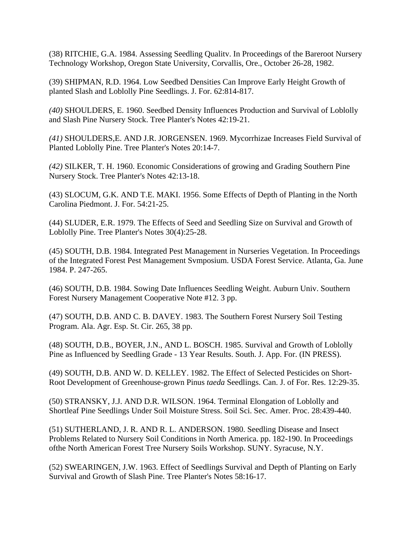(38) RITCHIE, G.A. 1984. Assessing Seedling Qualitv. In Proceedings of the Bareroot Nursery Technology Workshop, Oregon State University, Corvallis, Ore., October 26-28, 1982.

(39) SHIPMAN, R.D. 1964. Low Seedbed Densities Can Improve Early Height Growth of planted Slash and Loblolly Pine Seedlings. J. For. 62:814-817.

*(40)* SHOULDERS, E. 1960. Seedbed Density Influences Production and Survival of Loblolly and Slash Pine Nursery Stock. Tree Planter's Notes 42:19-21.

*(41)* SHOULDERS,E. AND J.R. JORGENSEN. 1969. Mycorrhizae Increases Field Survival of Planted Loblolly Pine. Tree Planter's Notes 20:14-7.

*(42)* SILKER, T. H. 1960. Economic Considerations of growing and Grading Southern Pine Nursery Stock. Tree Planter's Notes 42:13-18.

(43) SLOCUM, G.K. AND T.E. MAKI. 1956. Some Effects of Depth of Planting in the North Carolina Piedmont. J. For. 54:21-25.

(44) SLUDER, E.R. 1979. The Effects of Seed and Seedling Size on Survival and Growth of Loblolly Pine. Tree Planter's Notes 30(4):25-28.

(45) SOUTH, D.B. 1984. Integrated Pest Management in Nurseries Vegetation. In Proceedings of the Integrated Forest Pest Management Svmposium. USDA Forest Service. Atlanta, Ga. June 1984. P. 247-265.

(46) SOUTH, D.B. 1984. Sowing Date Influences Seedling Weight. Auburn Univ. Southern Forest Nursery Management Cooperative Note #12. 3 pp.

(47) SOUTH, D.B. AND C. B. DAVEY. 1983. The Southern Forest Nursery Soil Testing Program. Ala. Agr. Esp. St. Cir. 265, 38 pp.

(48) SOUTH, D.B., BOYER, J.N., AND L. BOSCH. 1985. Survival and Growth of Loblolly Pine as Influenced by Seedling Grade - 13 Year Results. South. J. App. For. (IN PRESS).

(49) SOUTH, D.B. AND W. D. KELLEY. 1982. The Effect of Selected Pesticides on Short-Root Development of Greenhouse-grown Pinus *taeda* Seedlings. Can. J. of For. Res. 12:29-35.

(50) STRANSKY, J.J. AND D.R. WILSON. 1964. Terminal Elongation of Loblolly and Shortleaf Pine Seedlings Under Soil Moisture Stress. Soil Sci. Sec. Amer. Proc. 28:439-440.

(51) SUTHERLAND, J. R. AND R. L. ANDERSON. 1980. Seedling Disease and Insect Problems Related to Nursery Soil Conditions in North America. pp. 182-190. In Proceedings ofthe North American Forest Tree Nursery Soils Workshop. SUNY. Syracuse, N.Y.

(52) SWEARINGEN, J.W. 1963. Effect of Seedlings Survival and Depth of Planting on Early Survival and Growth of Slash Pine. Tree Planter's Notes 58:16-17.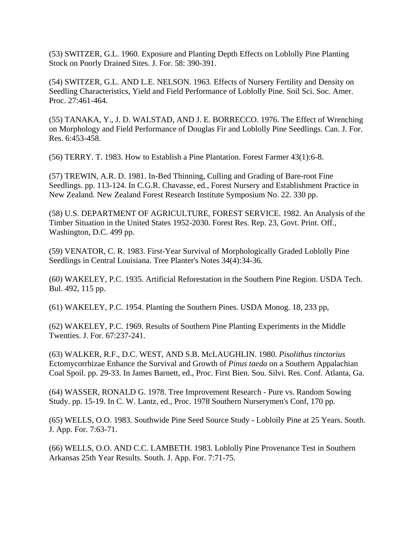(53) SWITZER, G.L. 1960. Exposure and Planting Depth Effects on Loblolly Pine Planting Stock on Poorly Drained Sites. J. For. 58: 390-391.

(54) SWITZER, G.L. AND L.E. NELSON. 1963. Effects of Nursery Fertility and Density on Seedling Characteristics, Yield and Field Performance of Loblolly Pine. Soil Sci. Soc. Amer. Proc. 27:461-464.

(55) TANAKA, Y., J. D. WALSTAD, AND J. E. BORRECCO. 1976. The Effect of Wrenching on Morphology and Field Performance of Douglas Fir and Loblolly Pine Seedlings. Can. J. For. Res. 6:453-458.

(56) TERRY. T. 1983. How to Establish a Pine Plantation. Forest Farmer 43(1):6-8.

(57) TREWIN, A.R. D. 1981. In-Bed Thinning, Culling and Grading of Bare-root Fine Seedlings. pp. 113-124. In C.G.R. Chavasse, ed., Forest Nursery and Establishment Practice in New Zealand. New Zealand Forest Research Institute Symposium No. 22. 330 pp.

(58) U.S. DEPARTMENT OF AGRICULTURE, FOREST SERVICE. 1982. An Analysis of the Timber Situation in the United States 1952-2030. Forest Res. Rep. 23, Govt. Print. Off., Washington, D.C. 499 pp.

(59) VENATOR, C. R. 1983. First-Year Survival of Morphologically Graded Loblolly Pine Seedlings in Central Louisiana. Tree Planter's Notes 34(4):34-36.

(60) WAKELEY, P.C. 1935. Artificial Reforestation in the Southern Pine Region. USDA Tech. Bul. 492, 115 pp.

(61) WAKELEY, P.C. 1954. Planting the Southern Pines. USDA Monog. 18, 233 pp,

(62) WAKELEY, P.C. 1969. Results of Southern Pine Planting Experiments in the Middle Twenties. J. For. 67:237-241.

(63) WALKER, R.F., D.C. WEST, AND S.B. McLAUGHLIN. 1980. *Pisolithus tinctorius*  Ectomycorrhizae Enhance the Survival and Growth of *Pinus taeda* on a Southern Appalachian Coal Spoil. pp. 29-33. In James Barnett, ed., Proc. First Bien. Sou. Silvi. Res. Conf. Atlanta, Ga.

(64) WASSER, RONALD G. 1978. Tree Improvement Research - Pure vs. Random Sowing Study. pp. 15-19. In C. W. Lantz, ed., Proc. 1978 Southern Nurserymen's Conf, 170 pp.

(65) WELLS, O.O. 1983. Southwide Pine Seed Source Study - Lobloily Pine at 25 Years. South. J. App. For. 7:63-71.

(66) WELLS, O.O. AND C.C. LAMBETH. 1983. Loblolly Pine Provenance Test in Southern Arkansas 25th Year Results. South. J. App. For. 7:71-75.